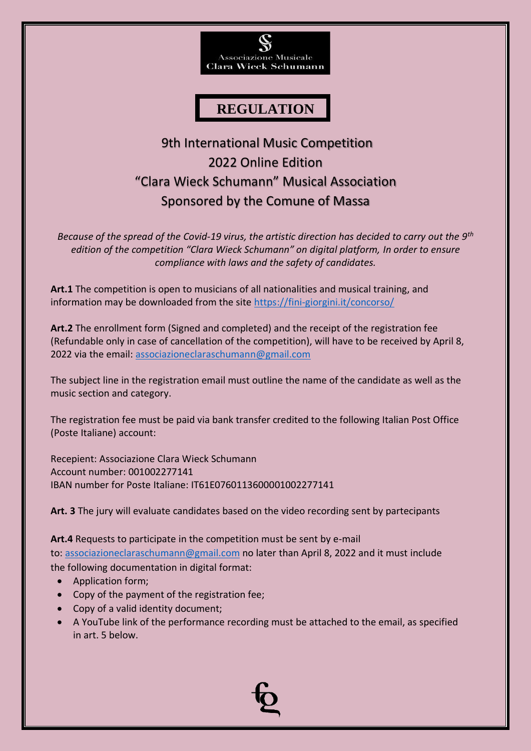

# **REGULATION**

# 9th International Music Competition 2022 Online Edition "Clara Wieck Schumann" Musical Association Sponsored by the Comune of Massa

*Because of the spread of the Covid-19 virus, the artistic direction has decided to carry out the 9th edition of the competition "Clara Wieck Schumann" on digital platform, In order to ensure compliance with laws and the safety of candidates.*

**Art.1** The competition is open to musicians of all nationalities and musical training, and information may be downloaded from the site<https://fini-giorgini.it/concorso/>

**Art.2** The enrollment form (Signed and completed) and the receipt of the registration fee (Refundable only in case of cancellation of the competition), will have to be received by April 8, 2022 via the email: [associazioneclaraschumann@gmail.com](mailto:associazioneclaraschumann@gmail.com)

The subject line in the registration email must outline the name of the candidate as well as the music section and category.

The registration fee must be paid via bank transfer credited to the following Italian Post Office (Poste Italiane) account:

Recepient: Associazione Clara Wieck Schumann Account number: 001002277141 IBAN number for Poste Italiane: IT61E0760113600001002277141

**Art. 3** The jury will evaluate candidates based on the video recording sent by partecipants

**Art.4** Requests to participate in the competition must be sent by e-mail to: [associazioneclaraschumann@gmail.com](mailto:associazioneclaraschumann@gmail.com) no later than April 8, 2022 and it must include the following documentation in digital format:

- Application form;
- Copy of the payment of the registration fee;
- Copy of a valid identity document;
- A YouTube link of the performance recording must be attached to the email, as specified in art. 5 below.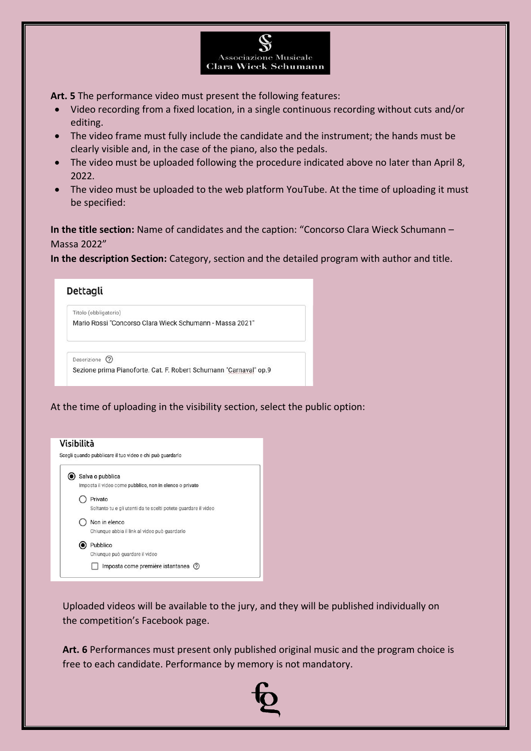

**Art. 5** The performance video must present the following features:

- Video recording from a fixed location, in a single continuous recording without cuts and/or editing.
- The video frame must fully include the candidate and the instrument; the hands must be clearly visible and, in the case of the piano, also the pedals.
- The video must be uploaded following the procedure indicated above no later than April 8, 2022.
- The video must be uploaded to the web platform YouTube. At the time of uploading it must be specified:

**In the title section:** Name of candidates and the caption: "Concorso Clara Wieck Schumann – Massa 2022"

**In the description Section:** Category, section and the detailed program with author and title.



At the time of uploading in the visibility section, select the public option:



Uploaded videos will be available to the jury, and they will be published individually on the competition's Facebook page.

**Art. 6** Performances must present only published original music and the program choice is free to each candidate. Performance by memory is not mandatory.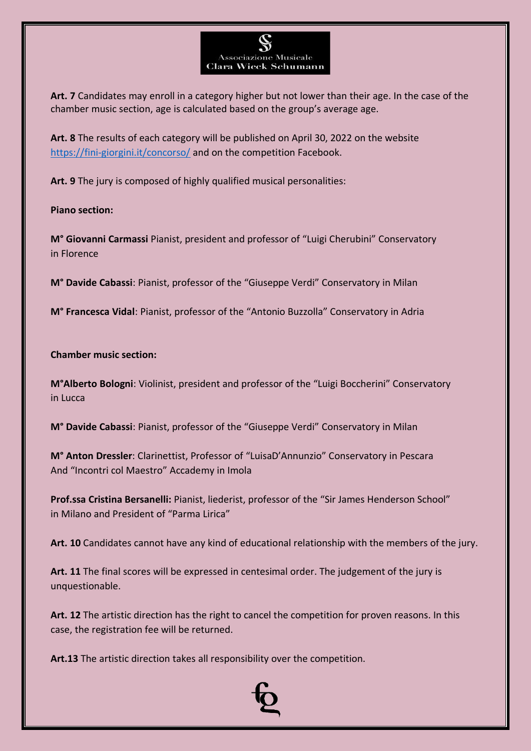**Art. 7** Candidates may enroll in a category higher but not lower than their age. In the case of the chamber music section, age is calculated based on the group's average age.

**Associazione Musicale Clara Wieck Schumann** 

**Art. 8** The results of each category will be published on April 30, 2022 on the website <https://fini-giorgini.it/concorso/> and on the competition Facebook.

**Art. 9** The jury is composed of highly qualified musical personalities:

**Piano section:**

**M° Giovanni Carmassi** Pianist, president and professor of "Luigi Cherubini" Conservatory in Florence

**M° Davide Cabassi**: Pianist, professor of the "Giuseppe Verdi" Conservatory in Milan

**M° Francesca Vidal**: Pianist, professor of the "Antonio Buzzolla" Conservatory in Adria

**Chamber music section:**

**M°Alberto Bologni**: Violinist, president and professor of the "Luigi Boccherini" Conservatory in Lucca

**M° Davide Cabassi**: Pianist, professor of the "Giuseppe Verdi" Conservatory in Milan

**M° Anton Dressler**: Clarinettist, Professor of "LuisaD'Annunzio" Conservatory in Pescara And "Incontri col Maestro" Accademy in Imola

**Prof.ssa Cristina Bersanelli:** Pianist, liederist, professor of the "Sir James Henderson School" in Milano and President of "Parma Lirica"

**Art. 10** Candidates cannot have any kind of educational relationship with the members of the jury.

**Art. 11** The final scores will be expressed in centesimal order. The judgement of the jury is unquestionable.

**Art. 12** The artistic direction has the right to cancel the competition for proven reasons. In this case, the registration fee will be returned.

**Art.13** The artistic direction takes all responsibility over the competition.

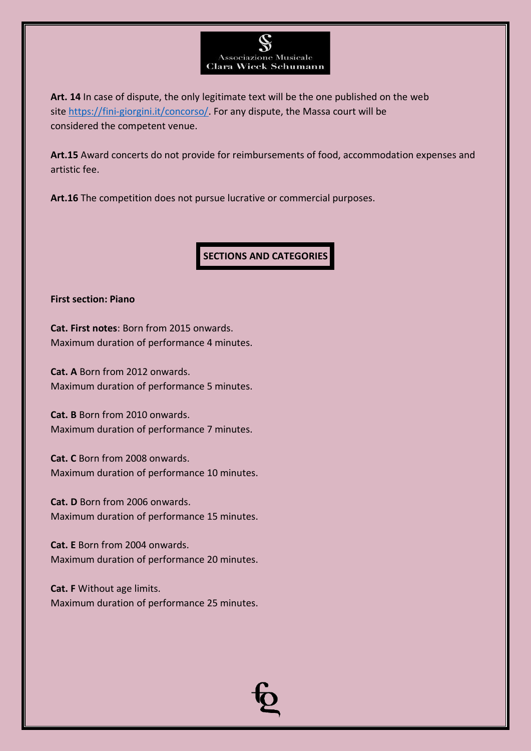

**Art. 14** In case of dispute, the only legitimate text will be the one published on the web site [https://fini-giorgini.it/concorso/.](https://fini-giorgini.it/concorso/) For any dispute, the Massa court will be considered the competent venue.

**Art.15** Award concerts do not provide for reimbursements of food, accommodation expenses and artistic fee.

**Art.16** The competition does not pursue lucrative or commercial purposes.

**SECTIONS AND CATEGORIES**

#### **First section: Piano**

**Cat. First notes**: Born from 2015 onwards. Maximum duration of performance 4 minutes.

**Cat. A** Born from 2012 onwards. Maximum duration of performance 5 minutes.

**Cat. B** Born from 2010 onwards. Maximum duration of performance 7 minutes.

**Cat. C** Born from 2008 onwards. Maximum duration of performance 10 minutes.

**Cat. D** Born from 2006 onwards. Maximum duration of performance 15 minutes.

**Cat. E** Born from 2004 onwards. Maximum duration of performance 20 minutes.

**Cat. F** Without age limits. Maximum duration of performance 25 minutes.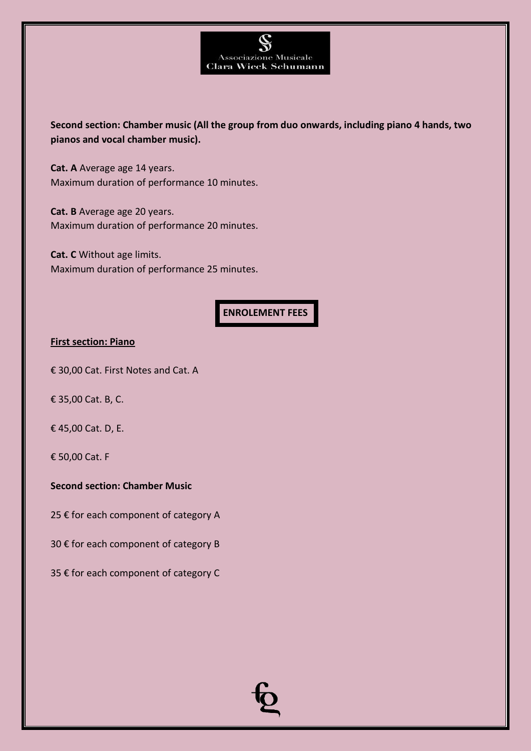

**Second section: Chamber music (All the group from duo onwards, including piano 4 hands, two pianos and vocal chamber music).**

**Cat. A** Average age 14 years. Maximum duration of performance 10 minutes.

**Cat. B** Average age 20 years. Maximum duration of performance 20 minutes.

**Cat. C** Without age limits. Maximum duration of performance 25 minutes.

## **ENROLEMENT FEES**

#### **First section: Piano**

€ 30,00 Cat. First Notes and Cat. A

€ 35,00 Cat. B, C.

€ 45,00 Cat. D, E.

€ 50,00 Cat. F

#### **Second section: Chamber Music**

25 € for each component of category A

30 € for each component of category B

35 € for each component of category C

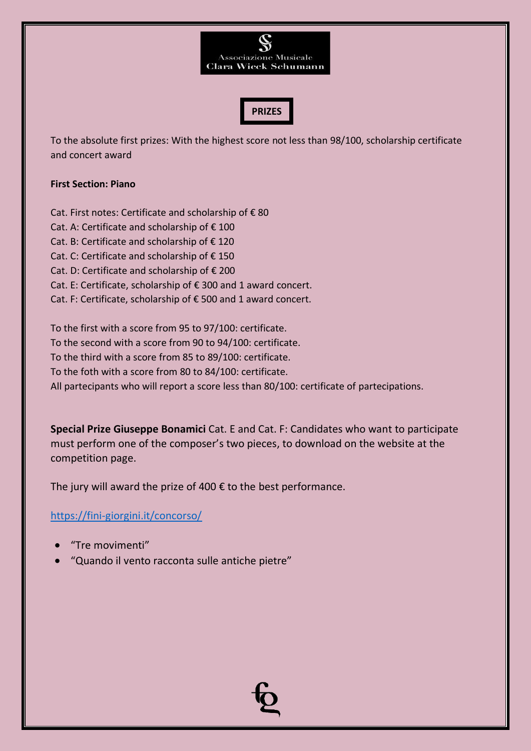



To the absolute first prizes: With the highest score not less than 98/100, scholarship certificate and concert award

#### **First Section: Piano**

Cat. First notes: Certificate and scholarship of € 80 Cat. A: Certificate and scholarship of € 100 Cat. B: Certificate and scholarship of € 120 Cat. C: Certificate and scholarship of € 150 Cat. D: Certificate and scholarship of € 200 Cat. E: Certificate, scholarship of € 300 and 1 award concert. Cat. F: Certificate, scholarship of € 500 and 1 award concert.

To the first with a score from 95 to 97/100: certificate.

To the second with a score from 90 to 94/100: certificate.

To the third with a score from 85 to 89/100: certificate.

To the foth with a score from 80 to 84/100: certificate.

All partecipants who will report a score less than 80/100: certificate of partecipations.

**Special Prize Giuseppe Bonamici** Cat. E and Cat. F: Candidates who want to participate must perform one of the composer's two pieces, to download on the website at the competition page.

The jury will award the prize of 400  $\epsilon$  to the best performance.

<https://fini-giorgini.it/concorso/>

- "Tre movimenti"
- "Quando il vento racconta sulle antiche pietre"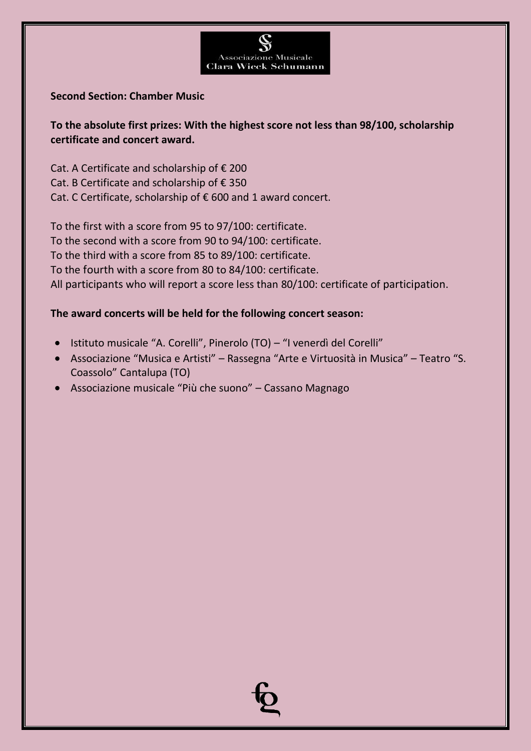

### **Second Section: Chamber Music**

**To the absolute first prizes: With the highest score not less than 98/100, scholarship certificate and concert award.**

Cat. A Certificate and scholarship of € 200 Cat. B Certificate and scholarship of € 350 Cat. C Certificate, scholarship of € 600 and 1 award concert.

To the first with a score from 95 to 97/100: certificate. To the second with a score from 90 to 94/100: certificate. To the third with a score from 85 to 89/100: certificate. To the fourth with a score from 80 to 84/100: certificate. All participants who will report a score less than 80/100: certificate of participation.

## **The award concerts will be held for the following concert season:**

- Istituto musicale "A. Corelli", Pinerolo (TO) "I venerdì del Corelli"
- Associazione "Musica e Artisti" Rassegna "Arte e Virtuosità in Musica" Teatro "S. Coassolo" Cantalupa (TO)
- Associazione musicale "Più che suono" Cassano Magnago